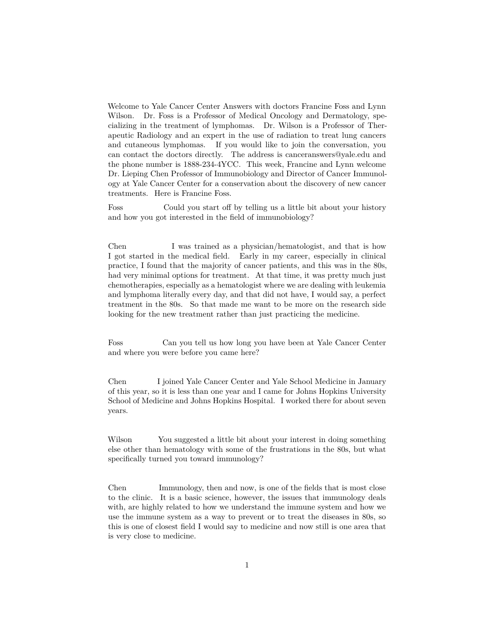Welcome to Yale Cancer Center Answers with doctors Francine Foss and Lynn Wilson. Dr. Foss is a Professor of Medical Oncology and Dermatology, specializing in the treatment of lymphomas. Dr. Wilson is a Professor of Therapeutic Radiology and an expert in the use of radiation to treat lung cancers and cutaneous lymphomas. If you would like to join the conversation, you can contact the doctors directly. The address is canceranswers@yale.edu and the phone number is 1888-234-4YCC. This week, Francine and Lynn welcome Dr. Lieping Chen Professor of Immunobiology and Director of Cancer Immunology at Yale Cancer Center for a conservation about the discovery of new cancer treatments. Here is Francine Foss.

Foss Could you start off by telling us a little bit about your history and how you got interested in the field of immunobiology?

Chen I was trained as a physician/hematologist, and that is how I got started in the medical field. Early in my career, especially in clinical practice, I found that the majority of cancer patients, and this was in the 80s, had very minimal options for treatment. At that time, it was pretty much just chemotherapies, especially as a hematologist where we are dealing with leukemia and lymphoma literally every day, and that did not have, I would say, a perfect treatment in the 80s. So that made me want to be more on the research side looking for the new treatment rather than just practicing the medicine.

Foss Can you tell us how long you have been at Yale Cancer Center and where you were before you came here?

Chen I joined Yale Cancer Center and Yale School Medicine in January of this year, so it is less than one year and I came for Johns Hopkins University School of Medicine and Johns Hopkins Hospital. I worked there for about seven years.

Wilson You suggested a little bit about your interest in doing something else other than hematology with some of the frustrations in the 80s, but what specifically turned you toward immunology?

Chen Immunology, then and now, is one of the fields that is most close to the clinic. It is a basic science, however, the issues that immunology deals with, are highly related to how we understand the immune system and how we use the immune system as a way to prevent or to treat the diseases in 80s, so this is one of closest field I would say to medicine and now still is one area that is very close to medicine.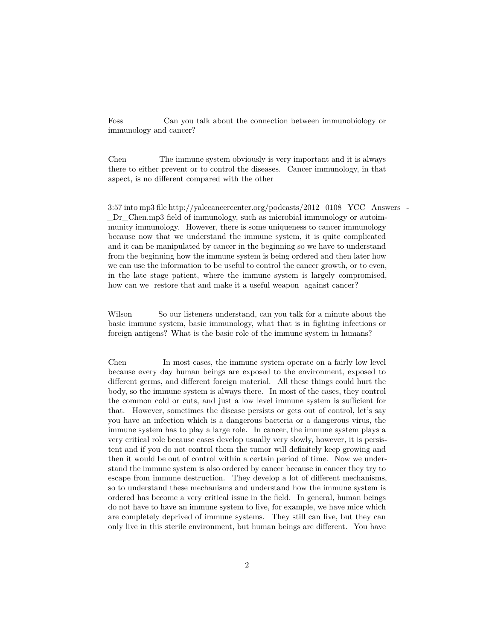Foss Can you talk about the connection between immunobiology or immunology and cancer?

Chen The immune system obviously is very important and it is always there to either prevent or to control the diseases. Cancer immunology, in that aspect, is no different compared with the other

3:57 into mp3 file http://yalecancercenter.org/podcasts/2012\_0108\_YCC\_Answers\_- \_Dr\_Chen.mp3 field of immunology, such as microbial immunology or autoimmunity immunology. However, there is some uniqueness to cancer immunology because now that we understand the immune system, it is quite complicated and it can be manipulated by cancer in the beginning so we have to understand from the beginning how the immune system is being ordered and then later how we can use the information to be useful to control the cancer growth, or to even, in the late stage patient, where the immune system is largely compromised, how can we restore that and make it a useful weapon against cancer?

Wilson So our listeners understand, can you talk for a minute about the basic immune system, basic immunology, what that is in fighting infections or foreign antigens? What is the basic role of the immune system in humans?

Chen In most cases, the immune system operate on a fairly low level because every day human beings are exposed to the environment, exposed to different germs, and different foreign material. All these things could hurt the body, so the immune system is always there. In most of the cases, they control the common cold or cuts, and just a low level immune system is sufficient for that. However, sometimes the disease persists or gets out of control, let's say you have an infection which is a dangerous bacteria or a dangerous virus, the immune system has to play a large role. In cancer, the immune system plays a very critical role because cases develop usually very slowly, however, it is persistent and if you do not control them the tumor will definitely keep growing and then it would be out of control within a certain period of time. Now we understand the immune system is also ordered by cancer because in cancer they try to escape from immune destruction. They develop a lot of different mechanisms, so to understand these mechanisms and understand how the immune system is ordered has become a very critical issue in the field. In general, human beings do not have to have an immune system to live, for example, we have mice which are completely deprived of immune systems. They still can live, but they can only live in this sterile environment, but human beings are different. You have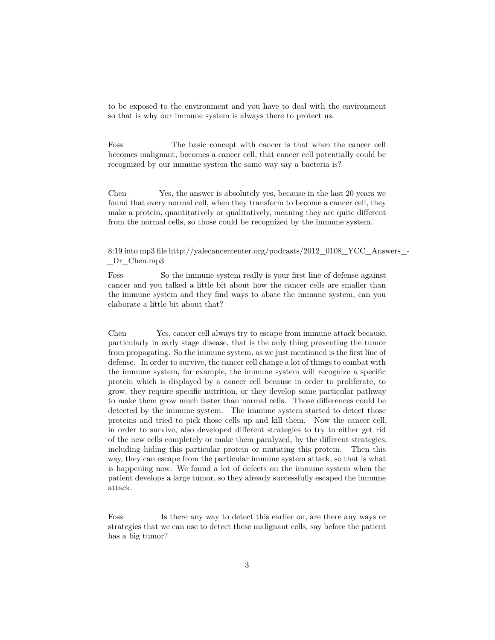to be exposed to the environment and you have to deal with the environment so that is why our immune system is always there to protect us.

Foss The basic concept with cancer is that when the cancer cell becomes malignant, becomes a cancer cell, that cancer cell potentially could be recognized by our immune system the same way say a bacteria is?

Chen Yes, the answer is absolutely yes, because in the last 20 years we found that every normal cell, when they transform to become a cancer cell, they make a protein, quantitatively or qualitatively, meaning they are quite different from the normal cells, so those could be recognized by the immune system.

8:19 into mp3 file http://yalecancercenter.org/podcasts/2012\_0108\_YCC\_Answers\_- Dr Chen.mp3

Foss So the immune system really is your first line of defense against cancer and you talked a little bit about how the cancer cells are smaller than the immune system and they find ways to abate the immune system, can you elaborate a little bit about that?

Chen Yes, cancer cell always try to escape from immune attack because, particularly in early stage disease, that is the only thing preventing the tumor from propagating. So the immune system, as we just mentioned is the first line of defense. In order to survive, the cancer cell change a lot of things to combat with the immune system, for example, the immune system will recognize a specific protein which is displayed by a cancer cell because in order to proliferate, to grow, they require specific nutrition, or they develop some particular pathway to make them grow much faster than normal cells. Those differences could be detected by the immune system. The immune system started to detect those proteins and tried to pick those cells up and kill them. Now the cancer cell, in order to survive, also developed different strategies to try to either get rid of the new cells completely or make them paralyzed, by the different strategies, including hiding this particular protein or mutating this protein. Then this way, they can escape from the particular immune system attack, so that is what is happening now. We found a lot of defects on the immune system when the patient develops a large tumor, so they already successfully escaped the immune attack.

Foss Is there any way to detect this earlier on, are there any ways or strategies that we can use to detect these malignant cells, say before the patient has a big tumor?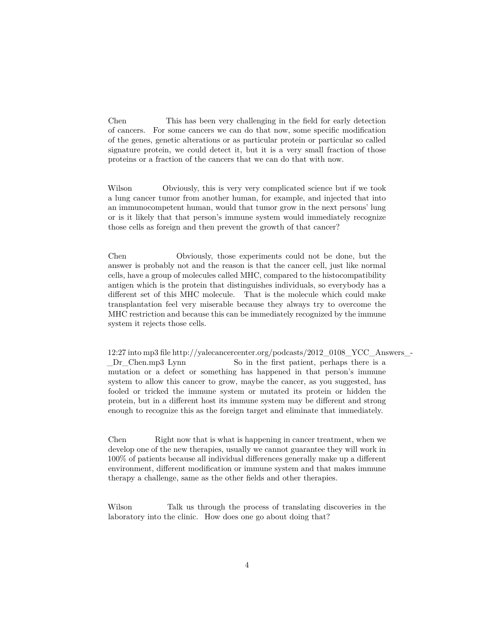Chen This has been very challenging in the field for early detection of cancers. For some cancers we can do that now, some specific modification of the genes, genetic alterations or as particular protein or particular so called signature protein, we could detect it, but it is a very small fraction of those proteins or a fraction of the cancers that we can do that with now.

Wilson Obviously, this is very very complicated science but if we took a lung cancer tumor from another human, for example, and injected that into an immunocompetent human, would that tumor grow in the next persons' lung or is it likely that that person's immune system would immediately recognize those cells as foreign and then prevent the growth of that cancer?

Chen Obviously, those experiments could not be done, but the answer is probably not and the reason is that the cancer cell, just like normal cells, have a group of molecules called MHC, compared to the histocompatibility antigen which is the protein that distinguishes individuals, so everybody has a different set of this MHC molecule. That is the molecule which could make transplantation feel very miserable because they always try to overcome the MHC restriction and because this can be immediately recognized by the immune system it rejects those cells.

12:27 into mp3 file http://yalecancercenter.org/podcasts/2012\_0108\_YCC\_Answers\_- Dr Chen.mp3 Lynn So in the first patient, perhaps there is a mutation or a defect or something has happened in that person's immune system to allow this cancer to grow, maybe the cancer, as you suggested, has fooled or tricked the immune system or mutated its protein or hidden the protein, but in a different host its immune system may be different and strong enough to recognize this as the foreign target and eliminate that immediately.

Chen Right now that is what is happening in cancer treatment, when we develop one of the new therapies, usually we cannot guarantee they will work in 100% of patients because all individual differences generally make up a different environment, different modification or immune system and that makes immune therapy a challenge, same as the other fields and other therapies.

Wilson Talk us through the process of translating discoveries in the laboratory into the clinic. How does one go about doing that?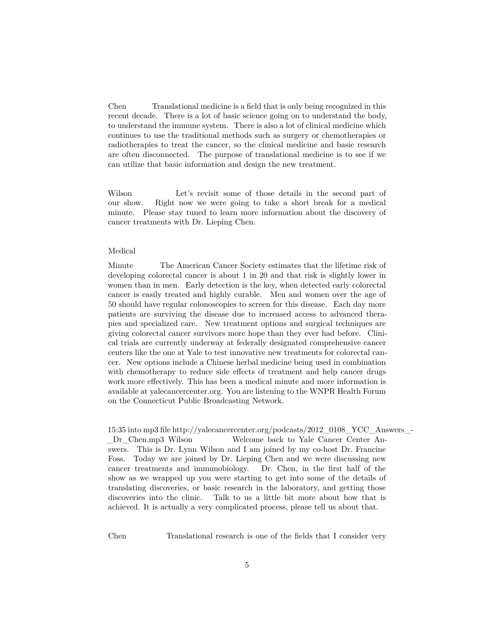Chen Translational medicine is a field that is only being recognized in this recent decade. There is a lot of basic science going on to understand the body, to understand the immune system. There is also a lot of clinical medicine which continues to use the traditional methods such as surgery or chemotherapies or radiotherapies to treat the cancer, so the clinical medicine and basic research are often disconnected. The purpose of translational medicine is to see if we can utilize that basic information and design the new treatment.

Wilson Let's revisit some of those details in the second part of our show. Right now we were going to take a short break for a medical minute. Please stay tuned to learn more information about the discovery of cancer treatments with Dr. Lieping Chen.

## Medical

Minute The American Cancer Society estimates that the lifetime risk of developing colorectal cancer is about 1 in 20 and that risk is slightly lower in women than in men. Early detection is the key, when detected early colorectal cancer is easily treated and highly curable. Men and women over the age of 50 should have regular colonoscopies to screen for this disease. Each day more patients are surviving the disease due to increased access to advanced therapies and specialized care. New treatment options and surgical techniques are giving colorectal cancer survivors more hope than they ever had before. Clinical trials are currently underway at federally designated comprehensive cancer centers like the one at Yale to test innovative new treatments for colorectal cancer. New options include a Chinese herbal medicine being used in combination with chemotherapy to reduce side effects of treatment and help cancer drugs work more effectively. This has been a medical minute and more information is available at yalecancercenter.org. You are listening to the WNPR Health Forum on the Connecticut Public Broadcasting Network.

15:35 into mp3 file http://yalecancercenter.org/podcasts/2012\_0108\_YCC\_Answers\_- \_Dr\_Chen.mp3 Wilson Welcome back to Yale Cancer Center Answers. This is Dr. Lynn Wilson and I am joined by my co-host Dr. Francine Foss. Today we are joined by Dr. Lieping Chen and we were discussing new cancer treatments and immunobiology. Dr. Chen, in the first half of the show as we wrapped up you were starting to get into some of the details of translating discoveries, or basic research in the laboratory, and getting those discoveries into the clinic. Talk to us a little bit more about how that is achieved. It is actually a very complicated process, please tell us about that.

Chen Translational research is one of the fields that I consider very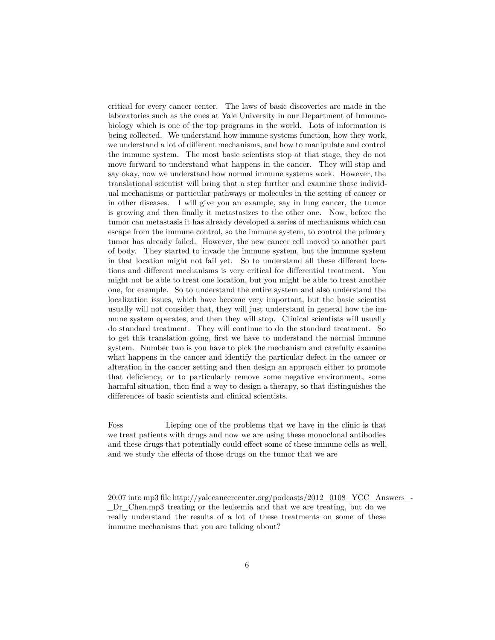critical for every cancer center. The laws of basic discoveries are made in the laboratories such as the ones at Yale University in our Department of Immunobiology which is one of the top programs in the world. Lots of information is being collected. We understand how immune systems function, how they work, we understand a lot of different mechanisms, and how to manipulate and control the immune system. The most basic scientists stop at that stage, they do not move forward to understand what happens in the cancer. They will stop and say okay, now we understand how normal immune systems work. However, the translational scientist will bring that a step further and examine those individual mechanisms or particular pathways or molecules in the setting of cancer or in other diseases. I will give you an example, say in lung cancer, the tumor is growing and then finally it metastasizes to the other one. Now, before the tumor can metastasis it has already developed a series of mechanisms which can escape from the immune control, so the immune system, to control the primary tumor has already failed. However, the new cancer cell moved to another part of body. They started to invade the immune system, but the immune system in that location might not fail yet. So to understand all these different locations and different mechanisms is very critical for differential treatment. You might not be able to treat one location, but you might be able to treat another one, for example. So to understand the entire system and also understand the localization issues, which have become very important, but the basic scientist usually will not consider that, they will just understand in general how the immune system operates, and then they will stop. Clinical scientists will usually do standard treatment. They will continue to do the standard treatment. So to get this translation going, first we have to understand the normal immune system. Number two is you have to pick the mechanism and carefully examine what happens in the cancer and identify the particular defect in the cancer or alteration in the cancer setting and then design an approach either to promote that deficiency, or to particularly remove some negative environment, some harmful situation, then find a way to design a therapy, so that distinguishes the differences of basic scientists and clinical scientists.

Foss Lieping one of the problems that we have in the clinic is that we treat patients with drugs and now we are using these monoclonal antibodies and these drugs that potentially could effect some of these immune cells as well, and we study the effects of those drugs on the tumor that we are

20:07 into mp3 file http://yalecancercenter.org/podcasts/2012\_0108\_YCC\_Answers\_- \_Dr\_Chen.mp3 treating or the leukemia and that we are treating, but do we really understand the results of a lot of these treatments on some of these immune mechanisms that you are talking about?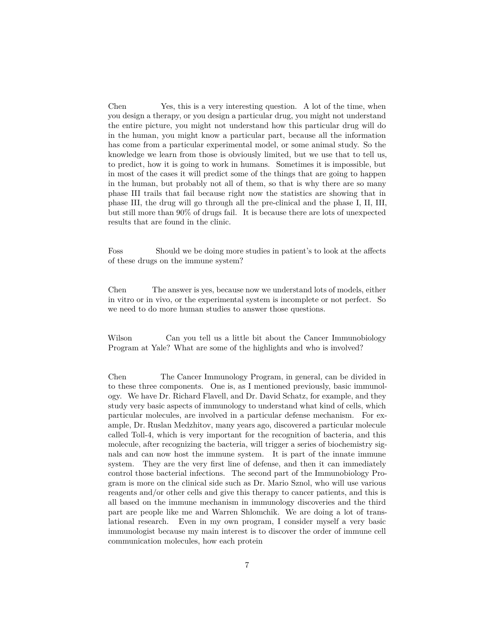Chen Yes, this is a very interesting question. A lot of the time, when you design a therapy, or you design a particular drug, you might not understand the entire picture, you might not understand how this particular drug will do in the human, you might know a particular part, because all the information has come from a particular experimental model, or some animal study. So the knowledge we learn from those is obviously limited, but we use that to tell us, to predict, how it is going to work in humans. Sometimes it is impossible, but in most of the cases it will predict some of the things that are going to happen in the human, but probably not all of them, so that is why there are so many phase III trails that fail because right now the statistics are showing that in phase III, the drug will go through all the pre-clinical and the phase I, II, III, but still more than 90% of drugs fail. It is because there are lots of unexpected results that are found in the clinic.

Foss Should we be doing more studies in patient's to look at the affects of these drugs on the immune system?

Chen The answer is yes, because now we understand lots of models, either in vitro or in vivo, or the experimental system is incomplete or not perfect. So we need to do more human studies to answer those questions.

Wilson Can you tell us a little bit about the Cancer Immunobiology Program at Yale? What are some of the highlights and who is involved?

Chen The Cancer Immunology Program, in general, can be divided in to these three components. One is, as I mentioned previously, basic immunology. We have Dr. Richard Flavell, and Dr. David Schatz, for example, and they study very basic aspects of immunology to understand what kind of cells, which particular molecules, are involved in a particular defense mechanism. For example, Dr. Ruslan Medzhitov, many years ago, discovered a particular molecule called Toll-4, which is very important for the recognition of bacteria, and this molecule, after recognizing the bacteria, will trigger a series of biochemistry signals and can now host the immune system. It is part of the innate immune system. They are the very first line of defense, and then it can immediately control those bacterial infections. The second part of the Immunobiology Program is more on the clinical side such as Dr. Mario Sznol, who will use various reagents and/or other cells and give this therapy to cancer patients, and this is all based on the immune mechanism in immunology discoveries and the third part are people like me and Warren Shlomchik. We are doing a lot of translational research. Even in my own program, I consider myself a very basic immunologist because my main interest is to discover the order of immune cell communication molecules, how each protein